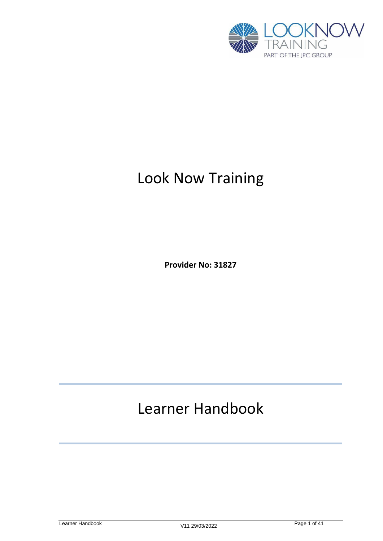

# Look Now Training

**Provider No: 31827**

# Learner Handbook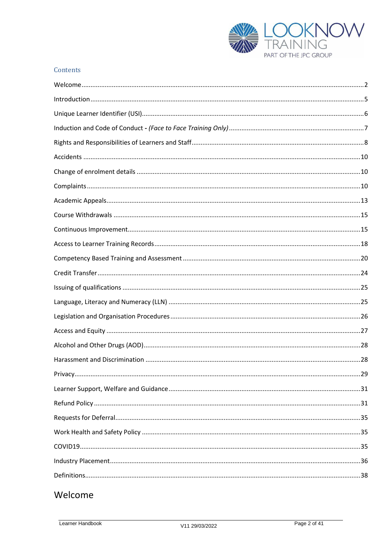

### Contents

# <span id="page-1-0"></span>Welcome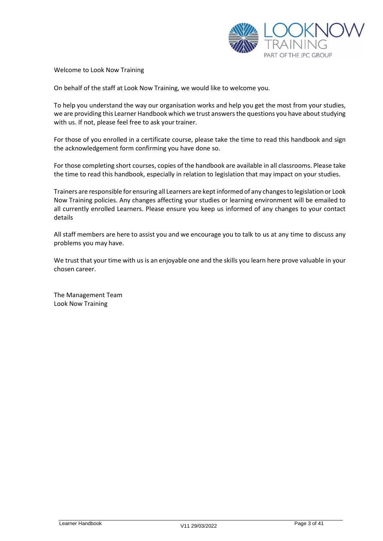

Welcome to Look Now Training

On behalf of the staff at Look Now Training, we would like to welcome you.

To help you understand the way our organisation works and help you get the most from your studies, we are providing this Learner Handbook which we trust answers the questions you have about studying with us. If not, please feel free to ask your trainer.

For those of you enrolled in a certificate course, please take the time to read this handbook and sign the acknowledgement form confirming you have done so.

For those completing short courses, copies of the handbook are available in all classrooms. Please take the time to read this handbook, especially in relation to legislation that may impact on your studies.

Trainers are responsible for ensuring all Learners are keptinformed of any changesto legislationor Look Now Training policies. Any changes affecting your studies or learning environment will be emailed to all currently enrolled Learners. Please ensure you keep us informed of any changes to your contact details

All staff members are here to assist you and we encourage you to talk to us at any time to discuss any problems you may have.

We trust that your time with us is an enjoyable one and the skills you learn here prove valuable in your chosen career.

The Management Team Look Now Training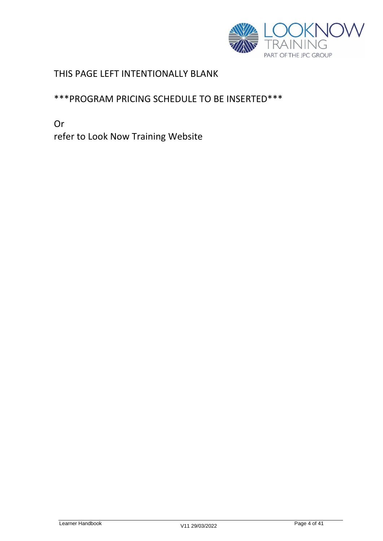

### THIS PAGE LEFT INTENTIONALLY BLANK

# \*\*\*PROGRAM PRICING SCHEDULE TO BE INSERTED\*\*\*

Or refer to Look Now Training Website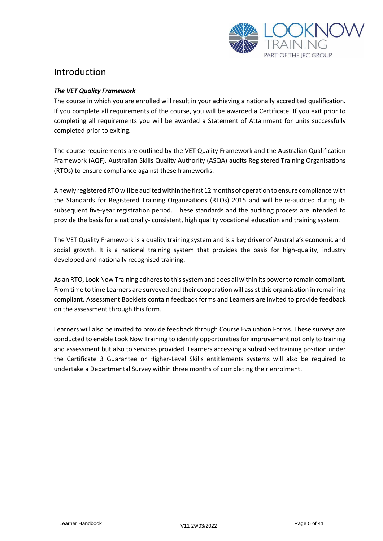

### <span id="page-4-0"></span>Introduction

#### *The VET Quality Framework*

The course in which you are enrolled will result in your achieving a nationally accredited qualification. If you complete all requirements of the course, you will be awarded a Certificate. If you exit prior to completing all requirements you will be awarded a Statement of Attainment for units successfully completed prior to exiting.

The course requirements are outlined by the VET Quality Framework and the Australian Qualification Framework (AQF). Australian Skills Quality Authority (ASQA) audits Registered Training Organisations (RTOs) to ensure compliance against these frameworks.

A newly registered RTO will be audited within the first 12 months of operation to ensure compliance with the Standards for Registered Training Organisations (RTOs) 2015 and will be re-audited during its subsequent five-year registration period. These standards and the auditing process are intended to provide the basis for a nationally- consistent, high quality vocational education and training system.

The VET Quality Framework is a quality training system and is a key driver of Australia's economic and social growth. It is a national training system that provides the basis for high-quality, industry developed and nationally recognised training.

As an RTO, Look Now Training adheres to this system and does all within its power to remain compliant. From time to time Learners are surveyed and their cooperation will assist this organisation in remaining compliant. Assessment Booklets contain feedback forms and Learners are invited to provide feedback on the assessment through this form.

Learners will also be invited to provide feedback through Course Evaluation Forms. These surveys are conducted to enable Look Now Training to identify opportunities for improvement not only to training and assessment but also to services provided. Learners accessing a subsidised training position under the Certificate 3 Guarantee or Higher-Level Skills entitlements systems will also be required to undertake a Departmental Survey within three months of completing their enrolment.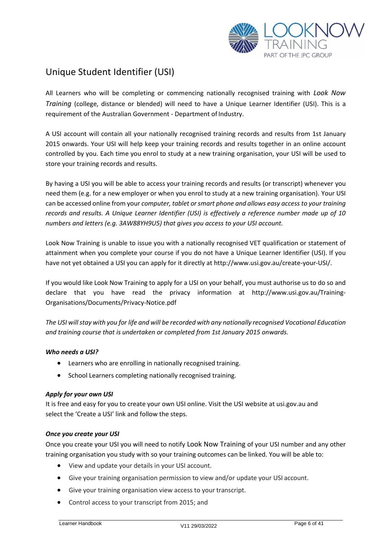

## <span id="page-5-0"></span>Unique Student Identifier (USI)

All Learners who will be completing or commencing nationally recognised training with *Look Now Training* (college, distance or blended) will need to have a Unique Learner Identifier (USI). This is a requirement of the Australian Government - Department of Industry.

A USI account will contain all your nationally recognised training records and results from 1st January 2015 onwards. Your USI will help keep your training records and results together in an online account controlled by you. Each time you enrol to study at a new training organisation, your USI will be used to store your training records and results.

By having a USI you will be able to access your training records and results (or transcript) whenever you need them (e.g. for a new employer or when you enrol to study at a new training organisation). Your USI can be accessed online from your *computer, tablet orsmart phone and allows easy access to your training records and results. A Unique Learner Identifier (USI) is effectively a reference number made up of 10 numbers and letters (e.g. 3AW88YH9U5) that gives you access to your USI account.*

Look Now Training is unable to issue you with a nationally recognised VET qualification or statement of attainment when you complete your course if you do not have a Unique Learner Identifier (USI). If you have not yet obtained a USI you can apply for it directly a[t http://www.usi.gov.au/create-your-USI/.](http://www.usi.gov.au/create-your-USI/)

If you would like Look Now Training to apply for a USI on your behalf, you must authorise us to do so and declare that you have read the privacy information at <http://www.usi.gov.au/Training->Organisations/Documents/Privacy-Notice.pdf

*The USI will stay with you for life and will be recorded with any nationally recognised Vocational Education and training course that is undertaken or completed from 1st January 2015 onwards.*

#### *Who needs a USI?*

- Learners who are enrolling in nationally recognised training.
- School Learners completing nationally recognised training.

#### *Apply for your own USI*

It is free and easy for you to create your own USI online. Visit the USI website at usi.gov.au and select the 'Create a USI' link and follow the steps.

#### *Once you create your USI*

Once you create your USI you will need to notify Look Now Training of your USI number and any other training organisation you study with so your training outcomes can be linked. You will be able to:

- View and update your details in your USI account.
- Give your training organisation permission to view and/or update your USI account.
- Give your training organisation view access to your transcript.
- Control access to your transcript from 2015; and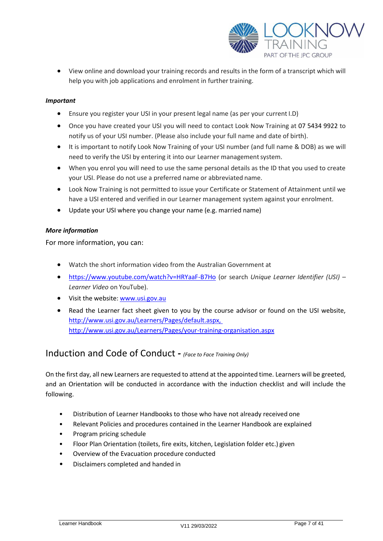

• View online and download your training records and results in the form of a transcript which will help you with job applications and enrolment in further training.

#### *Important*

- Ensure you register your USI in your present legal name (as per your current I.D)
- Once you have created your USI you will need to contact Look Now Training at 07 5434 9922 to notify us of your USI number. (Please also include your full name and date of birth).
- It is important to notify Look Now Training of your USI number (and full name & DOB) as we will need to verify the USI by entering it into our Learner management system.
- When you enrol you will need to use the same personal details as the ID that you used to create your USI. Please do not use a preferred name or abbreviated name.
- Look Now Training is not permitted to issue your Certificate or Statement of Attainment until we have a USI entered and verified in our Learner management system against your enrolment.
- Update your USI where you change your name (e.g. married name)

#### *More information*

For more information, you can:

- Watch the short information video from the Australian Government at
- https:/[/www.youtube.com/watch?v=HRYaaF-B7Ho](http://www.youtube.com/watch?v=HRYaaF-B7Ho) (or search *Unique Learner Identifier (USI) – Learner Video* on YouTube).
- Visit the website: [www.usi.gov.au](http://www.usi.gov.au/)
- Read the Learner fact sheet given to you by the course advisor or found on the USI website, [http://www.usi.gov.au/Learners/Pages/default.aspx,](http://www.usi.gov.au/Students/Pages/default.aspx) [http://www.usi.gov.au/Learners/Pages/your-training-organisation.aspx](http://www.usi.gov.au/Students/Pages/your-training-organisation.aspx)

### <span id="page-6-0"></span>Induction and Code of Conduct *- (Face to Face Training Only)*

On the first day, all new Learners are requested to attend at the appointed time. Learners will be greeted, and an Orientation will be conducted in accordance with the induction checklist and will include the following.

- Distribution of Learner Handbooks to those who have not already received one
- Relevant Policies and procedures contained in the Learner Handbook are explained
- Program pricing schedule
- Floor Plan Orientation (toilets, fire exits, kitchen, Legislation folder etc.) given
- Overview of the Evacuation procedure conducted
- <span id="page-6-1"></span>• Disclaimers completed and handed in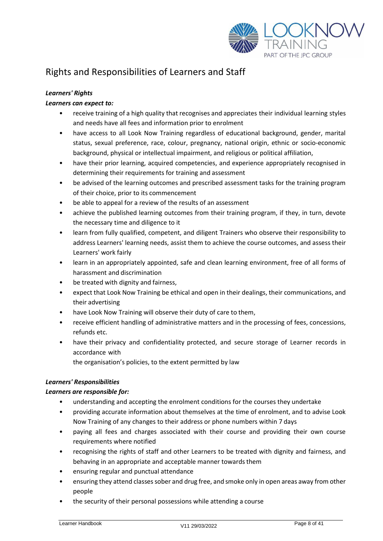

# Rights and Responsibilities of Learners and Staff

### *Learners' Rights*

#### *Learners can expect to:*

- receive training of a high quality that recognises and appreciates their individual learning styles and needs have all fees and information prior to enrolment
- have access to all Look Now Training regardless of educational background, gender, marital status, sexual preference, race, colour, pregnancy, national origin, ethnic or socio-economic background, physical or intellectual impairment, and religious or political affiliation,
- have their prior learning, acquired competencies, and experience appropriately recognised in determining their requirements for training and assessment
- be advised of the learning outcomes and prescribed assessment tasks for the training program of their choice, prior to its commencement
- be able to appeal for a review of the results of an assessment
- achieve the published learning outcomes from their training program, if they, in turn, devote the necessary time and diligence to it
- learn from fully qualified, competent, and diligent Trainers who observe their responsibility to address Learners' learning needs, assist them to achieve the course outcomes, and assess their Learners' work fairly
- learn in an appropriately appointed, safe and clean learning environment, free of all forms of harassment and discrimination
- be treated with dignity and fairness,
- expect that Look Now Training be ethical and open in their dealings, their communications, and their advertising
- have Look Now Training will observe their duty of care to them,
- receive efficient handling of administrative matters and in the processing of fees, concessions, refunds etc.
- have their privacy and confidentiality protected, and secure storage of Learner records in accordance with
	- the organisation's policies, to the extent permitted by law

#### *Learners' Responsibilities*

#### *Learners are responsible for:*

- understanding and accepting the enrolment conditions for the courses they undertake
- providing accurate information about themselves at the time of enrolment, and to advise Look Now Training of any changes to their address or phone numbers within 7 days
- paying all fees and charges associated with their course and providing their own course requirements where notified
- recognising the rights of staff and other Learners to be treated with dignity and fairness, and behaving in an appropriate and acceptable manner towards them
- ensuring regular and punctual attendance
- ensuring they attend classes sober and drug free, and smoke only in open areas away from other people
- the security of their personal possessions while attending a course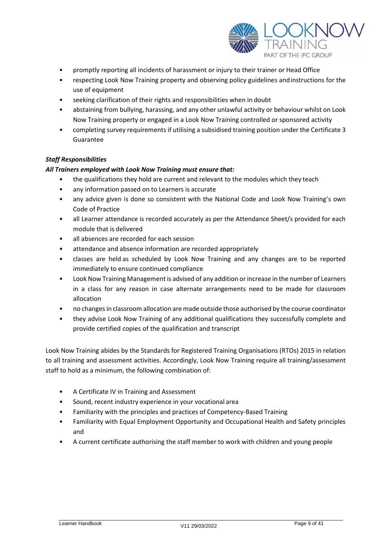

- promptly reporting all incidents of harassment or injury to their trainer or Head Office
- respecting Look Now Training property and observing policy guidelines andinstructions for the use of equipment
- seeking clarification of their rights and responsibilities when in doubt
- abstaining from bullying, harassing, and any other unlawful activity or behaviour whilst on Look Now Training property or engaged in a Look Now Training controlled or sponsored activity
- completing survey requirements if utilising a subsidised training position under the Certificate 3 Guarantee

#### *Staff Responsibilities*

#### *All Trainers employed with Look Now Training must ensure that:*

- the qualifications they hold are current and relevant to the modules which they teach
- any information passed on to Learners is accurate
- any advice given is done so consistent with the National Code and Look Now Training's own Code of Practice
- all Learner attendance is recorded accurately as per the Attendance Sheet/s provided for each module that is delivered
- all absences are recorded for each session
- attendance and absence information are recorded appropriately
- classes are held as scheduled by Look Now Training and any changes are to be reported immediately to ensure continued compliance
- Look Now Training Management is advised of any addition orincrease in the number of Learners in a class for any reason in case alternate arrangements need to be made for classroom allocation
- no changesin classroom allocation are made outside those authorised by the course coordinator
- they advise Look Now Training of any additional qualifications they successfully complete and provide certified copies of the qualification and transcript

Look Now Training abides by the Standards for Registered Training Organisations (RTOs) 2015 in relation to all training and assessment activities. Accordingly, Look Now Training require all training/assessment staff to hold as a minimum, the following combination of:

- A Certificate IV in Training and Assessment
- Sound, recent industry experience in your vocational area
- Familiarity with the principles and practices of Competency-Based Training
- Familiarity with Equal Employment Opportunity and Occupational Health and Safety principles and
- <span id="page-8-0"></span>• A current certificate authorising the staff member to work with children and young people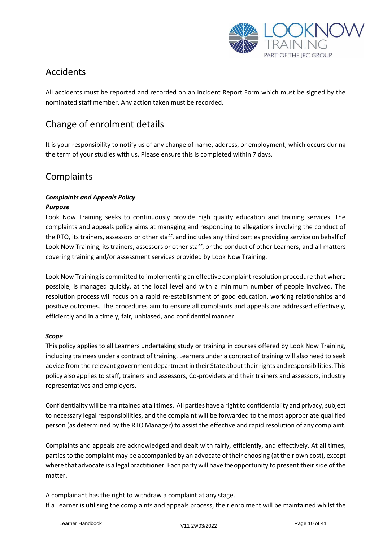

# Accidents

All accidents must be reported and recorded on an Incident Report Form which must be signed by the nominated staff member. Any action taken must be recorded.

### <span id="page-9-0"></span>Change of enrolment details

It is your responsibility to notify us of any change of name, address, or employment, which occurs during the term of your studies with us. Please ensure this is completed within 7 days.

### <span id="page-9-1"></span>**Complaints**

### *Complaints and Appeals Policy*

#### *Purpose*

Look Now Training seeks to continuously provide high quality education and training services. The complaints and appeals policy aims at managing and responding to allegations involving the conduct of the RTO, its trainers, assessors or other staff, and includes any third parties providing service on behalf of Look Now Training, its trainers, assessors or other staff, or the conduct of other Learners, and all matters covering training and/or assessment services provided by Look Now Training.

Look Now Training is committed to implementing an effective complaint resolution procedure that where possible, is managed quickly, at the local level and with a minimum number of people involved. The resolution process will focus on a rapid re-establishment of good education, working relationships and positive outcomes. The procedures aim to ensure all complaints and appeals are addressed effectively, efficiently and in a timely, fair, unbiased, and confidential manner.

#### *Scope*

This policy applies to all Learners undertaking study or training in courses offered by Look Now Training, including trainees under a contract of training. Learners under a contract of training will also need to seek advice from the relevant government department in their State about their rights and responsibilities. This policy also applies to staff, trainers and assessors, Co-providers and their trainers and assessors, industry representatives and employers.

Confidentiality will be maintained at all times. All parties have a right to confidentiality and privacy, subject to necessary legal responsibilities, and the complaint will be forwarded to the most appropriate qualified person (as determined by the RTO Manager) to assist the effective and rapid resolution of any complaint.

Complaints and appeals are acknowledged and dealt with fairly, efficiently, and effectively. At all times, parties to the complaint may be accompanied by an advocate of their choosing (at their own cost), except where that advocate is a legal practitioner. Each party will have the opportunity to present their side of the matter.

A complainant has the right to withdraw a complaint at any stage. If a Learner is utilising the complaints and appeals process, their enrolment will be maintained whilst the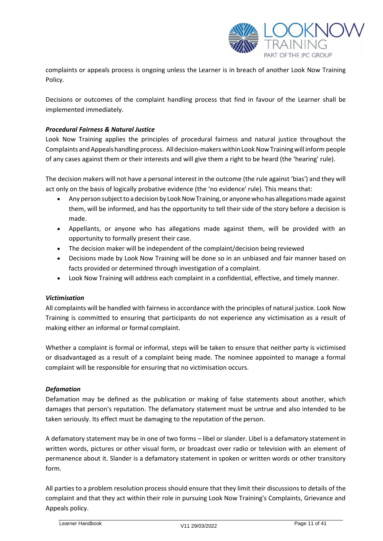

complaints or appeals process is ongoing unless the Learner is in breach of another Look Now Training Policy.

Decisions or outcomes of the complaint handling process that find in favour of the Learner shall be implemented immediately.

#### *Procedural Fairness & Natural Justice*

Look Now Training applies the principles of procedural fairness and natural justice throughout the Complaints and Appeals handling process. All decision-makers within Look Now Training will inform people of any cases against them or their interests and will give them a right to be heard (the 'hearing' rule).

The decision makers will not have a personal interest in the outcome (the rule against 'bias') and they will act only on the basis of logically probative evidence (the 'no evidence' rule). This means that:

- Any person subject to a decision by Look Now Training, or anyone who has allegations made against them, will be informed, and has the opportunity to tell their side of the story before a decision is made.
- Appellants, or anyone who has allegations made against them, will be provided with an opportunity to formally present their case.
- The decision maker will be independent of the complaint/decision being reviewed
- Decisions made by Look Now Training will be done so in an unbiased and fair manner based on facts provided or determined through investigation of a complaint.
- Look Now Training will address each complaint in a confidential, effective, and timely manner.

#### *Victimisation*

All complaints will be handled with fairness in accordance with the principles of natural justice. Look Now Training is committed to ensuring that participants do not experience any victimisation as a result of making either an informal or formal complaint.

Whether a complaint is formal or informal, steps will be taken to ensure that neither party is victimised or disadvantaged as a result of a complaint being made. The nominee appointed to manage a formal complaint will be responsible for ensuring that no victimisation occurs.

#### *Defamation*

Defamation may be defined as the publication or making of false statements about another, which damages that person's reputation. The defamatory statement must be untrue and also intended to be taken seriously. Its effect must be damaging to the reputation of the person.

A defamatory statement may be in one of two forms – libel or slander. Libel is a defamatory statement in written words, pictures or other visual form, or broadcast over radio or television with an element of permanence about it. Slander is a defamatory statement in spoken or written words or other transitory form.

All parties to a problem resolution process should ensure that they limit their discussionsto details of the complaint and that they act within their role in pursuing Look Now Training's Complaints, Grievance and Appeals policy.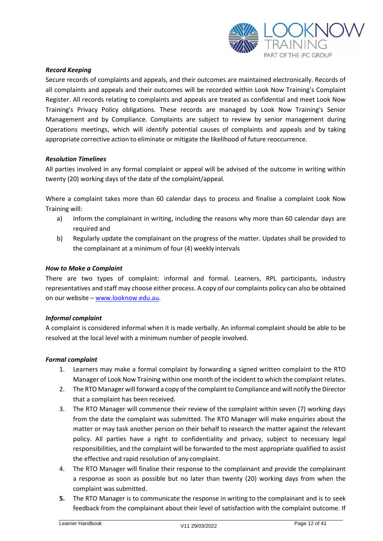

#### *Record Keeping*

Secure records of complaints and appeals, and their outcomes are maintained electronically. Records of all complaints and appeals and their outcomes will be recorded within Look Now Training's Complaint Register. All records relating to complaints and appeals are treated as confidential and meet Look Now Training's Privacy Policy obligations. These records are managed by Look Now Training's Senior Management and by Compliance. Complaints are subject to review by senior management during Operations meetings, which will identify potential causes of complaints and appeals and by taking appropriate corrective action to eliminate or mitigate the likelihood of future reoccurrence.

#### *Resolution Timelines*

All parties involved in any formal complaint or appeal will be advised of the outcome in writing within twenty (20) working days of the date of the complaint/appeal.

Where a complaint takes more than 60 calendar days to process and finalise a complaint Look Now Training will:

- a) Inform the complainant in writing, including the reasons why more than 60 calendar days are required and
- b) Regularly update the complainant on the progress of the matter. Updates shall be provided to the complainant at a minimum of four (4) weekly intervals

#### *How to Make a Complaint*

There are two types of complaint: informal and formal. Learners, RPL participants, industry representatives and staff may choose either process. A copy of our complaints policy can also be obtained on our website - [www.looknow.edu.au.](http://www.looknow.edu.au/)

#### *Informal complaint*

A complaint is considered informal when it is made verbally. An informal complaint should be able to be resolved at the local level with a minimum number of people involved.

#### *Formal complaint*

- 1. Learners may make a formal complaint by forwarding a signed written complaint to the RTO Manager of Look Now Training within one month of the incident to which the complaint relates.
- 2. The RTO Manager will forward a copy of the complaint to Compliance and will notify the Director that a complaint has been received.
- 3. The RTO Manager will commence their review of the complaint within seven (7) working days from the date the complaint was submitted. The RTO Manager will make enquiries about the matter or may task another person on their behalf to research the matter against the relevant policy. All parties have a right to confidentiality and privacy, subject to necessary legal responsibilities, and the complaint will be forwarded to the most appropriate qualified to assist the effective and rapid resolution of any complaint.
- 4. The RTO Manager will finalise their response to the complainant and provide the complainant a response as soon as possible but no later than twenty (20) working days from when the complaint was submitted.
- **5.** The RTO Manager is to communicate the response in writing to the complainant and is to seek feedback from the complainant about their level of satisfaction with the complaint outcome. If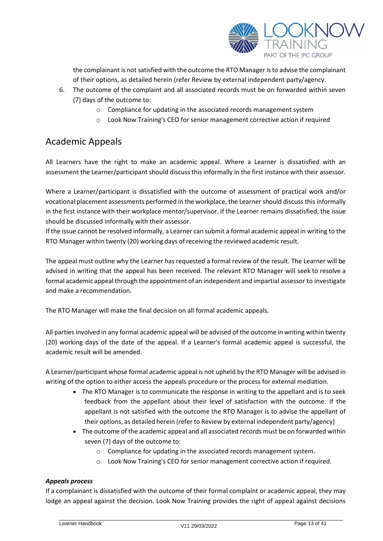

the complainant is not satisfied with the outcome the RTO Manager is to advise the complainant of their options, as detailed herein (refer Review by external independent party/agency.

- 6. The outcome of the complaint and all associated records must be on forwarded within seven (7) days of the outcome to:
	- o Compliance for updating in the associated records management system
	- o Look Now Training's CEO for senior management corrective action if required

# <span id="page-12-0"></span>Academic Appeals

All Learners have the right to make an academic appeal. Where a Learner is dissatisfied with an assessment the Learner/participant should discuss this informally in the first instance with their assessor.

Where a Learner/participant is dissatisfied with the outcome of assessment of practical work and/or vocational placement assessments performed in the workplace, the Learnershould discuss this informally in the first instance with their workplace mentor/supervisor. If the Learner remains dissatisfied, the issue should be discussed informally with their assessor.

If the issue cannot be resolved informally, a Learner can submit a formal academic appeal in writing to the RTO Manager within twenty (20) working days ofreceiving the reviewed academic result.

The appeal must outline why the Learner has requested a formal review of the result. The Learner will be advised in writing that the appeal has been received. The relevant RTO Manager will seek to resolve a formal academic appeal through the appointment of an independent and impartial assessor to investigate and make a recommendation.

The RTO Manager will make the final decision on all formal academic appeals.

All parties involved in any formal academic appeal will be advised of the outcome in writing within twenty (20) working days of the date of the appeal. If a Learner's formal academic appeal is successful, the academic result will be amended.

A Learner/participant whose formal academic appeal is not upheld by the RTO Manager will be advised in writing of the option to either access the appeals procedure or the process for external mediation.

- The RTO Manager is to communicate the response in writing to the appellant and is to seek feedback from the appellant about their level of satisfaction with the outcome. If the appellant is not satisfied with the outcome the RTO Manager is to advise the appellant of their options, as detailed herein (refer to Review by external independent party/agency)
- The outcome of the academic appeal and all associated records must be on forwarded within seven (7) days of the outcome to:
	- o Compliance for updating in the associated records management system.
	- o Look Now Training's CEO for senior management corrective action if required.

#### *Appeals process*

If a complainant is dissatisfied with the outcome of their formal complaint or academic appeal, they may lodge an appeal against the decision. Look Now Training provides the right of appeal against decisions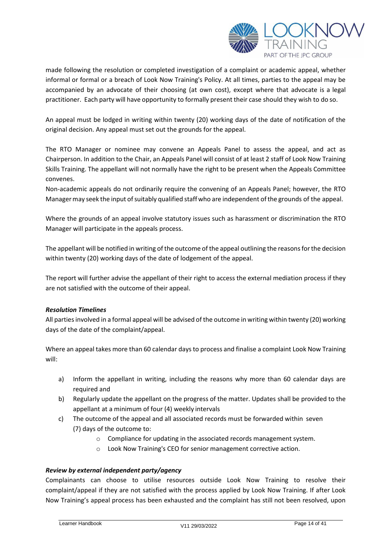

made following the resolution or completed investigation of a complaint or academic appeal, whether informal or formal or a breach of Look Now Training's Policy. At all times, parties to the appeal may be accompanied by an advocate of their choosing (at own cost), except where that advocate is a legal practitioner. Each party will have opportunity to formally present their case should they wish to do so.

An appeal must be lodged in writing within twenty (20) working days of the date of notification of the original decision. Any appeal must set out the grounds for the appeal.

The RTO Manager or nominee may convene an Appeals Panel to assess the appeal, and act as Chairperson. In addition to the Chair, an Appeals Panel will consist of at least 2 staff of Look Now Training Skills Training. The appellant will not normally have the right to be present when the Appeals Committee convenes.

Non-academic appeals do not ordinarily require the convening of an Appeals Panel; however, the RTO Managermay seek the input ofsuitably qualified staffwho are independent ofthe grounds of the appeal.

Where the grounds of an appeal involve statutory issues such as harassment or discrimination the RTO Manager will participate in the appeals process.

The appellant will be notified in writing of the outcome of the appeal outlining the reasons for the decision within twenty (20) working days of the date of lodgement of the appeal.

The report will further advise the appellant of their right to access the external mediation process if they are not satisfied with the outcome of their appeal.

#### *Resolution Timelines*

All parties involved in a formal appeal will be advised of the outcome in writing within twenty (20) working days of the date of the complaint/appeal.

Where an appeal takes more than 60 calendar days to process and finalise a complaint Look Now Training will:

- a) Inform the appellant in writing, including the reasons why more than 60 calendar days are required and
- b) Regularly update the appellant on the progress of the matter. Updates shall be provided to the appellant at a minimum of four (4) weekly intervals
- c) The outcome of the appeal and all associated records must be forwarded within seven (7) days of the outcome to:
	- o Compliance for updating in the associated records management system.
	- o Look Now Training's CEO for senior management corrective action.

#### *Review by external independent party/agency*

Complainants can choose to utilise resources outside Look Now Training to resolve their complaint/appeal if they are not satisfied with the process applied by Look Now Training. If after Look Now Training's appeal process has been exhausted and the complaint has still not been resolved, upon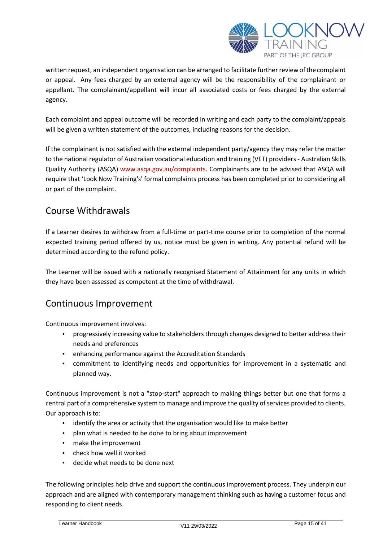

written request, an independent organisation can be arranged to facilitate further reviewofthecomplaint or appeal. Any fees charged by an external agency will be the responsibility of the complainant or appellant. The complainant/appellant will incur all associated costs or fees charged by the external agency.

Each complaint and appeal outcome will be recorded in writing and each party to the complaint/appeals will be given a written statement of the outcomes, including reasons for the decision.

If the complainant is not satisfied with the external independent party/agency they may refer the matter to the national regulator of Australian vocational education and training (VET) providers - Australian Skills Quality Authority (ASQA) [www.asqa.gov.au/complaints.](http://www.asqa.gov.au/complaints) Complainants are to be advised that ASQA will require that 'Look Now Training's' formal complaints process has been completed prior to considering all or part of the complaint.

### <span id="page-14-0"></span>Course Withdrawals

If a Learner desires to withdraw from a full-time or part-time course prior to completion of the normal expected training period offered by us, notice must be given in writing. Any potential refund will be determined according to the refund policy.

The Learner will be issued with a nationally recognised Statement of Attainment for any units in which they have been assessed as competent at the time of withdrawal.

### <span id="page-14-1"></span>Continuous Improvement

Continuous improvement involves:

- progressively increasing value to stakeholders through changes designed to better address their needs and preferences
- enhancing performance against the Accreditation Standards
- commitment to identifying needs and opportunities for improvement in a systematic and planned way.

Continuous improvement is not a "stop-start" approach to making things better but one that forms a central part of a comprehensive system to manage and improve the quality of services provided to clients. Our approach is to:

- identify the area or activity that the organisation would like to make better
- plan what is needed to be done to bring about improvement
- make the improvement
- check how well it worked
- decide what needs to be done next

The following principles help drive and support the continuous improvement process. They underpin our approach and are aligned with contemporary management thinking such as having a customer focus and responding to client needs.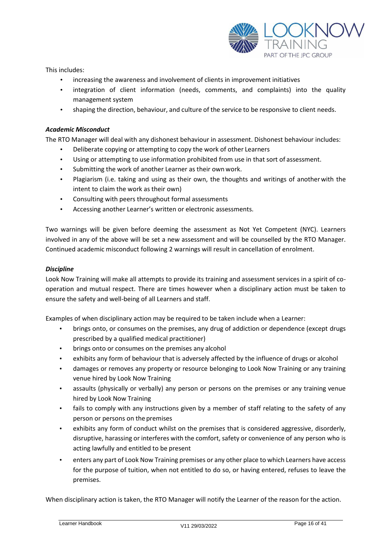

This includes:

- increasing the awareness and involvement of clients in improvement initiatives
- integration of client information (needs, comments, and complaints) into the quality management system
- shaping the direction, behaviour, and culture of the service to be responsive to client needs.

#### *Academic Misconduct*

The RTO Manager will deal with any dishonest behaviour in assessment. Dishonest behaviour includes:

- Deliberate copying or attempting to copy the work of other Learners
- Using or attempting to use information prohibited from use in that sort of assessment.
- Submitting the work of another Learner as their own work.
- Plagiarism (i.e. taking and using as their own, the thoughts and writings of another with the intent to claim the work as their own)
- Consulting with peers throughout formal assessments
- Accessing another Learner's written or electronic assessments.

Two warnings will be given before deeming the assessment as Not Yet Competent (NYC). Learners involved in any of the above will be set a new assessment and will be counselled by the RTO Manager. Continued academic misconduct following 2 warnings will result in cancellation of enrolment.

#### *Discipline*

Look Now Training will make all attempts to provide its training and assessment services in a spirit of cooperation and mutual respect. There are times however when a disciplinary action must be taken to ensure the safety and well-being of all Learners and staff.

Examples of when disciplinary action may be required to be taken include when a Learner:

- brings onto, or consumes on the premises, any drug of addiction or dependence (except drugs prescribed by a qualified medical practitioner)
- brings onto or consumes on the premises any alcohol
- exhibits any form of behaviour that is adversely affected by the influence of drugs or alcohol
- damages or removes any property or resource belonging to Look Now Training or any training venue hired by Look Now Training
- assaults (physically or verbally) any person or persons on the premises or any training venue hired by Look Now Training
- fails to comply with any instructions given by a member of staff relating to the safety of any person or persons on the premises
- exhibits any form of conduct whilst on the premises that is considered aggressive, disorderly, disruptive, harassing or interferes with the comfort, safety or convenience of any person who is acting lawfully and entitled to be present
- enters any part of Look Now Training premises or any other place to which Learners have access for the purpose of tuition, when not entitled to do so, or having entered, refuses to leave the premises.

When disciplinary action is taken, the RTO Manager will notify the Learner of the reason for the action.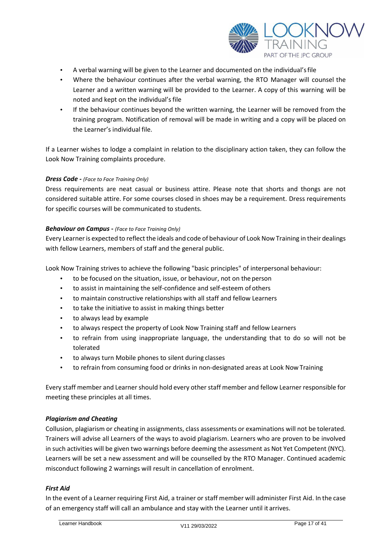

- A verbal warning will be given to the Learner and documented on the individual'sfile
- Where the behaviour continues after the verbal warning, the RTO Manager will counsel the Learner and a written warning will be provided to the Learner. A copy of this warning will be noted and kept on the individual's file
- If the behaviour continues beyond the written warning, the Learner will be removed from the training program. Notification of removal will be made in writing and a copy will be placed on the Learner's individual file.

If a Learner wishes to lodge a complaint in relation to the disciplinary action taken, they can follow the Look Now Training complaints procedure.

#### *Dress Code - (Face to Face Training Only)*

Dress requirements are neat casual or business attire. Please note that shorts and thongs are not considered suitable attire. For some courses closed in shoes may be a requirement. Dress requirements for specific courses will be communicated to students.

#### *Behaviour on Campus* **-** *(Face to Face Training Only)*

Every Learner is expected to reflect the ideals and code of behaviour of Look Now Training in their dealings with fellow Learners, members of staff and the general public.

Look Now Training strives to achieve the following "basic principles" of interpersonal behaviour:

- to be focused on the situation, issue, or behaviour, not on the person
- to assist in maintaining the self-confidence and self-esteem of others
- to maintain constructive relationships with all staff and fellow Learners
- to take the initiative to assist in making things better
- to always lead by example
- to always respect the property of Look Now Training staff and fellow Learners
- to refrain from using inappropriate language, the understanding that to do so will not be tolerated
- to always turn Mobile phones to silent during classes
- to refrain from consuming food or drinks in non-designated areas at Look Now Training

Every staff member and Learner should hold every other staff member and fellow Learner responsible for meeting these principles at all times.

#### *Plagiarism and Cheating*

Collusion, plagiarism or cheating in assignments, class assessments or examinations will not be tolerated. Trainers will advise all Learners of the ways to avoid plagiarism. Learners who are proven to be involved in such activities will be given two warnings before deeming the assessment as Not Yet Competent (NYC). Learners will be set a new assessment and will be counselled by the RTO Manager. Continued academic misconduct following 2 warnings will result in cancellation of enrolment.

#### *First Aid*

In the event of a Learner requiring First Aid, a trainer or staff member will administer First Aid. In the case of an emergency staff will call an ambulance and stay with the Learner until it arrives.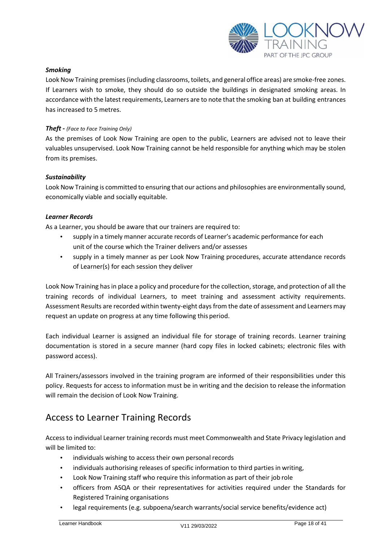

#### *Smoking*

Look Now Training premises (including classrooms, toilets, and general office areas) are smoke-free zones. If Learners wish to smoke, they should do so outside the buildings in designated smoking areas. In accordance with the latest requirements, Learners are to note that the smoking ban at building entrances has increased to 5 metres.

#### *Theft - (Face to Face Training Only)*

As the premises of Look Now Training are open to the public, Learners are advised not to leave their valuables unsupervised. Look Now Training cannot be held responsible for anything which may be stolen from its premises.

#### *Sustainability*

Look Now Training is committed to ensuring that our actions and philosophies are environmentally sound, economically viable and socially equitable.

#### *Learner Records*

As a Learner, you should be aware that our trainers are required to:

- supply in a timely manner accurate records of Learner's academic performance for each unit of the course which the Trainer delivers and/or assesses
- supply in a timely manner as per Look Now Training procedures, accurate attendance records of Learner(s) for each session they deliver

Look Now Training has in place a policy and procedure for the collection, storage, and protection of all the training records of individual Learners, to meet training and assessment activity requirements. Assessment Results are recorded within twenty-eight days from the date of assessment and Learners may request an update on progress at any time following this period.

Each individual Learner is assigned an individual file for storage of training records. Learner training documentation is stored in a secure manner (hard copy files in locked cabinets; electronic files with password access).

All Trainers/assessors involved in the training program are informed of their responsibilities under this policy. Requests for access to information must be in writing and the decision to release the information will remain the decision of Look Now Training.

### <span id="page-17-0"></span>Access to Learner Training Records

Access to individual Learner training records must meet Commonwealth and State Privacy legislation and will be limited to:

- individuals wishing to access their own personal records
- individuals authorising releases of specific information to third parties in writing,
- Look Now Training staff who require this information as part of their job role
- officers from ASQA or their representatives for activities required under the Standards for Registered Training organisations
- legal requirements (e.g. subpoena/search warrants/social service benefits/evidence act)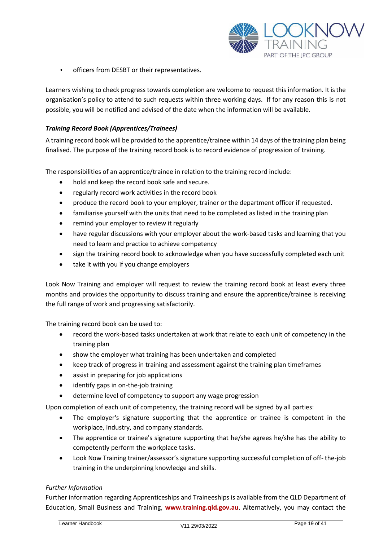

• officers from DESBT or their representatives.

Learners wishing to check progress towards completion are welcome to request this information. It isthe organisation's policy to attend to such requests within three working days. If for any reason this is not possible, you will be notified and advised of the date when the information will be available.

#### *Training Record Book (Apprentices/Trainees)*

A training record book will be provided to the apprentice/trainee within 14 days of the training plan being finalised. The purpose of the training record book is to record evidence of progression of training.

The responsibilities of an apprentice/trainee in relation to the training record include:

- hold and keep the record book safe and secure.
- regularly record work activities in the record book
- produce the record book to your employer, trainer or the department officer if requested.
- familiarise yourself with the units that need to be completed as listed in the training plan
- remind your employer to review it regularly
- have regular discussions with your employer about the work-based tasks and learning that you need to learn and practice to achieve competency
- sign the training record book to acknowledge when you have successfully completed each unit
- take it with you if you change employers

Look Now Training and employer will request to review the training record book at least every three months and provides the opportunity to discuss training and ensure the apprentice/trainee is receiving the full range of work and progressing satisfactorily.

The training record book can be used to:

- record the work-based tasks undertaken at work that relate to each unit of competency in the training plan
- show the employer what training has been undertaken and completed
- keep track of progress in training and assessment against the training plan timeframes
- assist in preparing for job applications
- identify gaps in on-the-job training
- determine level of competency to support any wage progression

Upon completion of each unit of competency, the training record will be signed by all parties:

- The employer's signature supporting that the apprentice or trainee is competent in the workplace, industry, and company standards.
- The apprentice or trainee's signature supporting that he/she agrees he/she has the ability to competently perform the workplace tasks.
- Look Now Training trainer/assessor's signature supporting successful completion of off- the-job training in the underpinning knowledge and skills.

#### *Further Information*

Further information regarding Apprenticeships and Traineeships is available from the QLD Department of Education, Small Business and Training, **[www.training.qld.gov.au](http://www.training.qld.gov.au/)**. Alternatively, you may contact the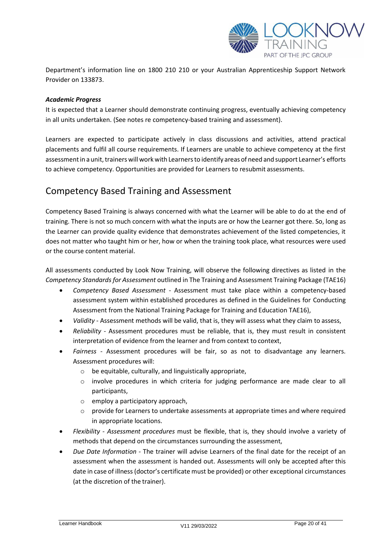

Department's information line on 1800 210 210 or your Australian Apprenticeship Support Network Provider on 133873.

#### *Academic Progress*

It is expected that a Learner should demonstrate continuing progress, eventually achieving competency in all units undertaken. (See notes re competency-based training and assessment).

Learners are expected to participate actively in class discussions and activities, attend practical placements and fulfil all course requirements. If Learners are unable to achieve competency at the first assessment in a unit, trainers will work with Learners to identify areas of need and support Learner's efforts to achieve competency. Opportunities are provided for Learners to resubmit assessments.

### <span id="page-19-0"></span>Competency Based Training and Assessment

Competency Based Training is always concerned with what the Learner will be able to do at the end of training. There is not so much concern with what the inputs are or how the Learner got there. So, long as the Learner can provide quality evidence that demonstrates achievement of the listed competencies, it does not matter who taught him or her, how or when the training took place, what resources were used or the course content material.

All assessments conducted by Look Now Training, will observe the following directives as listed in the *Competency Standards for Assessment* outlined in The Training and Assessment Training Package (TAE16)

- *Competency Based Assessment*  Assessment must take place within a competency-based assessment system within established procedures as defined in the Guidelines for Conducting Assessment from the National Training Package for Training and Education TAE16),
- *Validity*  Assessment methods will be valid, that is, they will assess what they claim to assess,
- *Reliability*  Assessment procedures must be reliable, that is, they must result in consistent interpretation of evidence from the learner and from context to context,
- *Fairness*  Assessment procedures will be fair, so as not to disadvantage any learners. Assessment procedures will:
	- o be equitable, culturally, and linguistically appropriate,
	- o involve procedures in which criteria for judging performance are made clear to all participants,
	- o employ a participatory approach,
	- o provide for Learners to undertake assessments at appropriate times and where required in appropriate locations.
- *Flexibility - Assessment procedures* must be flexible, that is, they should involve a variety of methods that depend on the circumstances surrounding the assessment,
- *Due Date Information -* The trainer will advise Learners of the final date for the receipt of an assessment when the assessment is handed out. Assessments will only be accepted after this date in case of illness (doctor's certificate must be provided) or other exceptional circumstances (at the discretion of the trainer).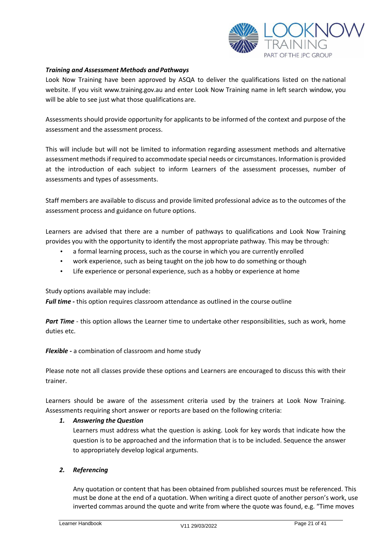

#### *Training and Assessment Methods andPathways*

Look Now Training have been approved by ASQA to deliver the qualifications listed on the national website. If you visit [www.training.gov.au a](http://www.training.gov.au/)nd enter Look Now Training name in left search window, you will be able to see just what those qualifications are.

Assessments should provide opportunity for applicants to be informed of the context and purpose of the assessment and the assessment process.

This will include but will not be limited to information regarding assessment methods and alternative assessment methods if required to accommodate special needs or circumstances. Information is provided at the introduction of each subject to inform Learners of the assessment processes, number of assessments and types of assessments.

Staff members are available to discuss and provide limited professional advice as to the outcomes of the assessment process and guidance on future options.

Learners are advised that there are a number of pathways to qualifications and Look Now Training provides you with the opportunity to identify the most appropriate pathway. This may be through:

- a formal learning process, such as the course in which you are currently enrolled
- work experience, such as being taught on the job how to do something orthough
- Life experience or personal experience, such as a hobby or experience at home

Study options available may include:

*Full time -* this option requires classroom attendance as outlined in the course outline

Part Time - this option allows the Learner time to undertake other responsibilities, such as work, home duties etc.

*Flexible -* a combination of classroom and home study

Please note not all classes provide these options and Learners are encouraged to discuss this with their trainer.

Learners should be aware of the assessment criteria used by the trainers at Look Now Training. Assessments requiring short answer or reports are based on the following criteria:

#### *1. Answering the Question*

Learners must address what the question is asking. Look for key words that indicate how the question is to be approached and the information that is to be included. Sequence the answer to appropriately develop logical arguments.

#### *2. Referencing*

Any quotation or content that has been obtained from published sources must be referenced. This must be done at the end of a quotation. When writing a direct quote of another person's work, use inverted commas around the quote and write from where the quote was found, e.g. "Time moves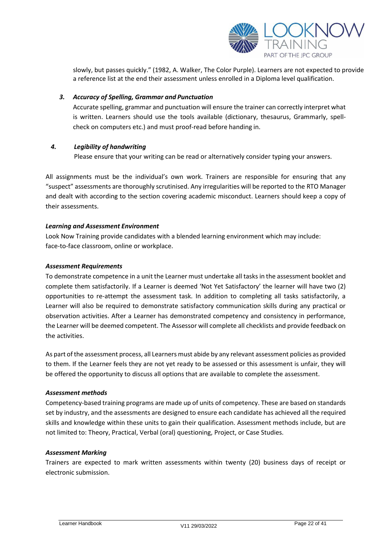

slowly, but passes quickly." (1982, A. Walker, The Color Purple). Learners are not expected to provide a reference list at the end their assessment unless enrolled in a Diploma level qualification.

#### *3. Accuracy of Spelling, Grammar and Punctuation*

Accurate spelling, grammar and punctuation will ensure the trainer can correctly interpret what is written. Learners should use the tools available (dictionary, thesaurus, Grammarly, spellcheck on computers etc.) and must proof-read before handing in.

#### *4. Legibility of handwriting*

Please ensure that your writing can be read or alternatively consider typing your answers.

All assignments must be the individual's own work. Trainers are responsible for ensuring that any "suspect" assessments are thoroughly scrutinised. Any irregularities will be reported to the RTO Manager and dealt with according to the section covering academic misconduct. Learners should keep a copy of their assessments.

#### *Learning and Assessment Environment*

Look Now Training provide candidates with a blended learning environment which may include: face-to-face classroom, online or workplace.

#### *Assessment Requirements*

To demonstrate competence in a unit the Learner must undertake all tasks in the assessment booklet and complete them satisfactorily. If a Learner is deemed 'Not Yet Satisfactory' the learner will have two (2) opportunities to re-attempt the assessment task. In addition to completing all tasks satisfactorily, a Learner will also be required to demonstrate satisfactory communication skills during any practical or observation activities. After a Learner has demonstrated competency and consistency in performance, the Learner will be deemed competent. The Assessor will complete all checklists and provide feedback on the activities.

As part of the assessment process, all Learners must abide by any relevant assessment policies as provided to them. If the Learner feels they are not yet ready to be assessed or this assessment is unfair, they will be offered the opportunity to discuss all options that are available to complete the assessment.

#### *Assessment methods*

Competency-based training programs are made up of units of competency. These are based on standards set by industry, and the assessments are designed to ensure each candidate has achieved all the required skills and knowledge within these units to gain their qualification. Assessment methods include, but are not limited to: Theory, Practical, Verbal (oral) questioning, Project, or Case Studies.

#### *Assessment Marking*

Trainers are expected to mark written assessments within twenty (20) business days of receipt or electronic submission.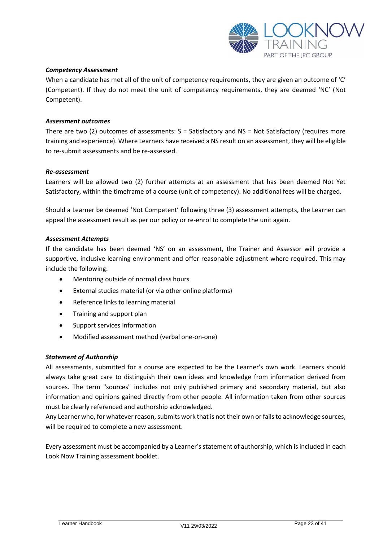

#### *Competency Assessment*

When a candidate has met all of the unit of competency requirements, they are given an outcome of 'C' (Competent). If they do not meet the unit of competency requirements, they are deemed 'NC' (Not Competent).

#### *Assessment outcomes*

There are two (2) outcomes of assessments:  $S =$  Satisfactory and NS = Not Satisfactory (requires more training and experience). Where Learners have received a NS result on an assessment, they will be eligible to re-submit assessments and be re-assessed.

#### *Re-assessment*

Learners will be allowed two (2) further attempts at an assessment that has been deemed Not Yet Satisfactory, within the timeframe of a course (unit of competency). No additional fees will be charged.

Should a Learner be deemed 'Not Competent' following three (3) assessment attempts, the Learner can appeal the assessment result as per our policy or re-enrol to complete the unit again.

#### *Assessment Attempts*

If the candidate has been deemed 'NS' on an assessment, the Trainer and Assessor will provide a supportive, inclusive learning environment and offer reasonable adjustment where required. This may include the following:

- Mentoring outside of normal class hours
- External studies material (or via other online platforms)
- Reference links to learning material
- Training and support plan
- Support services information
- Modified assessment method (verbal one-on-one)

#### *Statement of Authorship*

All assessments, submitted for a course are expected to be the Learner's own work. Learners should always take great care to distinguish their own ideas and knowledge from information derived from sources. The term "sources" includes not only published primary and secondary material, but also information and opinions gained directly from other people. All information taken from other sources must be clearly referenced and authorship acknowledged.

Any Learner who, for whatever reason, submits work that is not their own or fails to acknowledge sources, will be required to complete a new assessment.

Every assessment must be accompanied by a Learner's statement of authorship, which is included in each Look Now Training assessment booklet.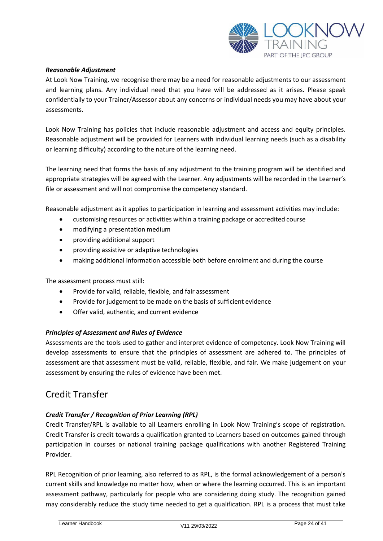

#### *Reasonable Adjustment*

At Look Now Training, we recognise there may be a need for reasonable adjustments to our assessment and learning plans. Any individual need that you have will be addressed as it arises. Please speak confidentially to your Trainer/Assessor about any concerns or individual needs you may have about your assessments.

Look Now Training has policies that include reasonable adjustment and access and equity principles. Reasonable adjustment will be provided for Learners with individual learning needs (such as a disability or learning difficulty) according to the nature of the learning need.

The learning need that forms the basis of any adjustment to the training program will be identified and appropriate strategies will be agreed with the Learner. Any adjustments will be recorded in the Learner's file or assessment and will not compromise the competency standard.

Reasonable adjustment as it applies to participation in learning and assessment activities may include:

- customising resources or activities within a training package or accredited course
- modifying a presentation medium
- providing additional support
- providing assistive or adaptive technologies
- making additional information accessible both before enrolment and during the course

The assessment process must still:

- Provide for valid, reliable, flexible, and fair assessment
- Provide for judgement to be made on the basis of sufficient evidence
- Offer valid, authentic, and current evidence

#### *Principles of Assessment and Rules of Evidence*

Assessments are the tools used to gather and interpret evidence of competency. Look Now Training will develop assessments to ensure that the principles of assessment are adhered to. The principles of assessment are that assessment must be valid, reliable, flexible, and fair. We make judgement on your assessment by ensuring the rules of evidence have been met.

### <span id="page-23-0"></span>Credit Transfer

#### *Credit Transfer / Recognition of Prior Learning (RPL)*

Credit Transfer/RPL is available to all Learners enrolling in Look Now Training's scope of registration. Credit Transfer is credit towards a qualification granted to Learners based on outcomes gained through participation in courses or national training package qualifications with another Registered Training Provider.

RPL Recognition of prior learning, also referred to as RPL, is the formal acknowledgement of a person's current skills and knowledge no matter how, when or where the learning occurred. This is an important assessment pathway, particularly for people who are considering doing study. The recognition gained may considerably reduce the study time needed to get a qualification. RPL is a process that must take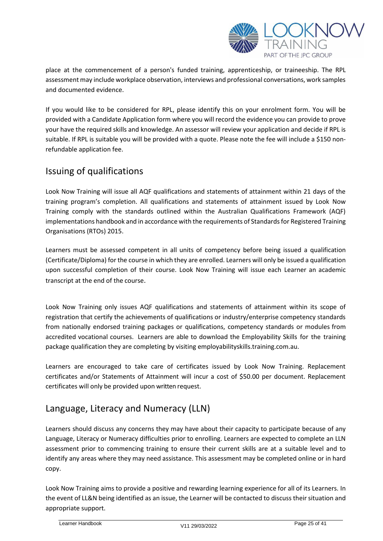

place at the commencement of a person's funded training, apprenticeship, or traineeship. The RPL assessment may include workplace observation, interviews and professional conversations, work samples and documented evidence.

If you would like to be considered for RPL, please identify this on your enrolment form. You will be provided with a Candidate Application form where you will record the evidence you can provide to prove your have the required skills and knowledge. An assessor will review your application and decide if RPL is suitable. If RPL is suitable you will be provided with a quote. Please note the fee will include a \$150 nonrefundable application fee.

### <span id="page-24-0"></span>Issuing of qualifications

Look Now Training will issue all AQF qualifications and statements of attainment within 21 days of the training program's completion. All qualifications and statements of attainment issued by Look Now Training comply with the standards outlined within the Australian Qualifications Framework (AQF) implementations handbook and in accordance with the requirements of Standards for Registered Training Organisations (RTOs) 2015.

Learners must be assessed competent in all units of competency before being issued a qualification (Certificate/Diploma) for the course in which they are enrolled. Learners will only be issued a qualification upon successful completion of their course. Look Now Training will issue each Learner an academic transcript at the end of the course.

Look Now Training only issues AQF qualifications and statements of attainment within its scope of registration that certify the achievements of qualifications or industry/enterprise competency standards from nationally endorsed training packages or qualifications, competency standards or modules from accredited vocational courses. Learners are able to download the Employability Skills for the training package qualification they are completing by visiting employabilityskills.training.com.au.

Learners are encouraged to take care of certificates issued by Look Now Training. Replacement certificates and/or Statements of Attainment will incur a cost of \$50.00 per document. Replacement certificates will only be provided upon written request.

# <span id="page-24-1"></span>Language, Literacy and Numeracy (LLN)

Learners should discuss any concerns they may have about their capacity to participate because of any Language, Literacy or Numeracy difficulties prior to enrolling. Learners are expected to complete an LLN assessment prior to commencing training to ensure their current skills are at a suitable level and to identify any areas where they may need assistance. This assessment may be completed online or in hard copy.

Look Now Training aims to provide a positive and rewarding learning experience for all of its Learners. In the event of LL&N being identified as an issue, the Learner will be contacted to discuss their situation and appropriate support.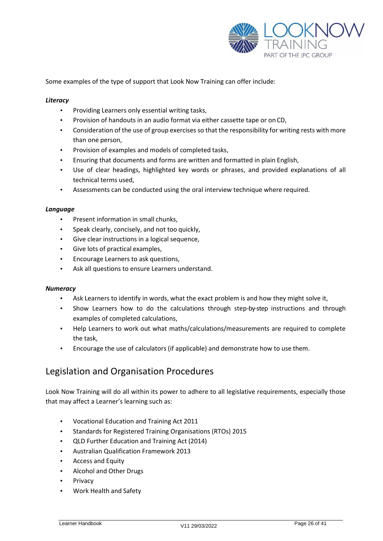

Some examples of the type of support that Look Now Training can offer include:

#### *Literacy*

- Providing Learners only essential writing tasks,
- Provision of handouts in an audio format via either cassette tape or on CD,
- Consideration of the use of group exercises so that the responsibility for writing rests with more than one person,
- Provision of examples and models of completed tasks,
- Ensuring that documents and forms are written and formatted in plain English,
- Use of clear headings, highlighted key words or phrases, and provided explanations of all technical terms used,
- Assessments can be conducted using the oral interview technique where required.

#### *Language*

- Present information in small chunks,
- Speak clearly, concisely, and not too quickly,
- Give clear instructions in a logical sequence,
- Give lots of practical examples,
- Encourage Learners to ask questions,
- Ask all questions to ensure Learners understand.

#### *Numeracy*

- Ask Learners to identify in words, what the exact problem is and how they might solve it,
- Show Learners how to do the calculations through step-by-step instructions and through examples of completed calculations,
- Help Learners to work out what maths/calculations/measurements are required to complete the task,
- Encourage the use of calculators (if applicable) and demonstrate how to use them.

### <span id="page-25-0"></span>Legislation and Organisation Procedures

Look Now Training will do all within its power to adhere to all legislative requirements, especially those that may affect a Learner's learning such as:

- Vocational Education and Training Act 2011
- Standards for Registered Training Organisations (RTOs) 2015
- QLD Further Education and Training Act (2014)
- Australian Qualification Framework 2013
- Access and Equity
- Alcohol and Other Drugs
- **Privacy**
- Work Health and Safety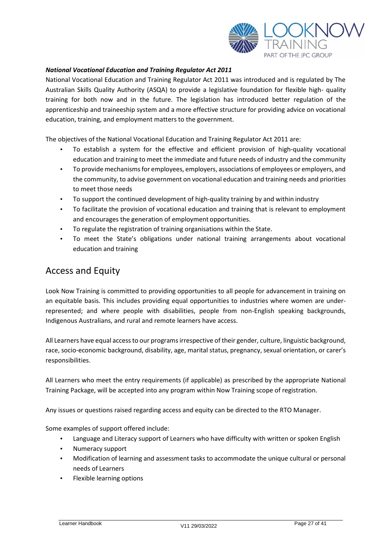

#### *National Vocational Education and Training Regulator Act 2011*

National Vocational Education and Training Regulator Act 2011 was introduced and is regulated by The Australian Skills Quality Authority (ASQA) to provide a legislative foundation for flexible high- quality training for both now and in the future. The legislation has introduced better regulation of the apprenticeship and traineeship system and a more effective structure for providing advice on vocational education, training, and employment matters to the government.

The objectives of the National Vocational Education and Training Regulator Act 2011 are:

- To establish a system for the effective and efficient provision of high-quality vocational education and training to meet the immediate and future needs of industry and the community
- To provide mechanisms for employees, employers, associations of employees or employers, and the community, to advise government on vocational education and training needs and priorities to meet those needs
- To support the continued development of high-quality training by and within industry
- To facilitate the provision of vocational education and training that is relevant to employment and encourages the generation of employment opportunities.
- To regulate the registration of training organisations within the State.
- To meet the State's obligations under national training arrangements about vocational education and training

### <span id="page-26-0"></span>Access and Equity

Look Now Training is committed to providing opportunities to all people for advancement in training on an equitable basis. This includes providing equal opportunities to industries where women are underrepresented; and where people with disabilities, people from non-English speaking backgrounds, Indigenous Australians, and rural and remote learners have access.

All Learners have equal access to our programs irrespective of their gender, culture, linguistic background, race, socio-economic background, disability, age, marital status, pregnancy, sexual orientation, or carer's responsibilities.

All Learners who meet the entry requirements (if applicable) as prescribed by the appropriate National Training Package, will be accepted into any program within Now Training scope of registration.

Any issues or questions raised regarding access and equity can be directed to the RTO Manager.

Some examples of support offered include:

- Language and Literacy support of Learners who have difficulty with written or spoken English
- Numeracy support
- Modification of learning and assessment tasks to accommodate the unique cultural or personal needs of Learners
- <span id="page-26-1"></span>• Flexible learning options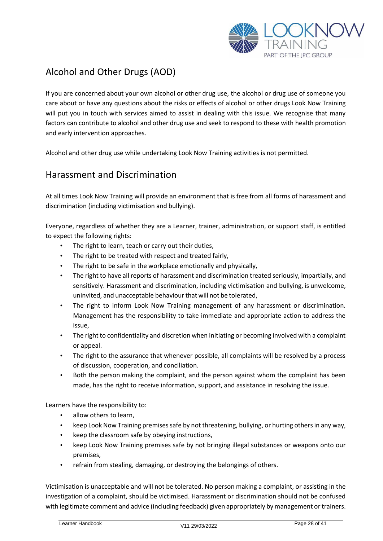

# Alcohol and Other Drugs (AOD)

If you are concerned about your own alcohol or other drug use, the alcohol or drug use of someone you care about or have any questions about the risks or effects of alcohol or other drugs Look Now Training will put you in touch with services aimed to assist in dealing with this issue. We recognise that many factors can contribute to alcohol and other drug use and seek to respond to these with health promotion and early intervention approaches.

Alcohol and other drug use while undertaking Look Now Training activities is not permitted.

### <span id="page-27-0"></span>Harassment and Discrimination

At all times Look Now Training will provide an environment that is free from all forms of harassment and discrimination (including victimisation and bullying).

Everyone, regardless of whether they are a Learner, trainer, administration, or support staff, is entitled to expect the following rights:

- The right to learn, teach or carry out their duties,
- The right to be treated with respect and treated fairly,
- The right to be safe in the workplace emotionally and physically,
- The right to have all reports of harassment and discrimination treated seriously, impartially, and sensitively. Harassment and discrimination, including victimisation and bullying, is unwelcome, uninvited, and unacceptable behaviour that will not be tolerated,
- The right to inform Look Now Training management of any harassment or discrimination. Management has the responsibility to take immediate and appropriate action to address the issue,
- The right to confidentiality and discretion when initiating or becoming involved with a complaint or appeal.
- The right to the assurance that whenever possible, all complaints will be resolved by a process of discussion, cooperation, and conciliation.
- Both the person making the complaint, and the person against whom the complaint has been made, has the right to receive information, support, and assistance in resolving the issue.

Learners have the responsibility to:

- allow others to learn,
- keep Look Now Training premises safe by not threatening, bullying, or hurting others in any way,
- keep the classroom safe by obeying instructions,
- keep Look Now Training premises safe by not bringing illegal substances or weapons onto our premises,
- refrain from stealing, damaging, or destroying the belongings of others.

Victimisation is unacceptable and will not be tolerated. No person making a complaint, or assisting in the investigation of a complaint, should be victimised. Harassment or discrimination should not be confused with legitimate comment and advice (including feedback) given appropriately by management or trainers.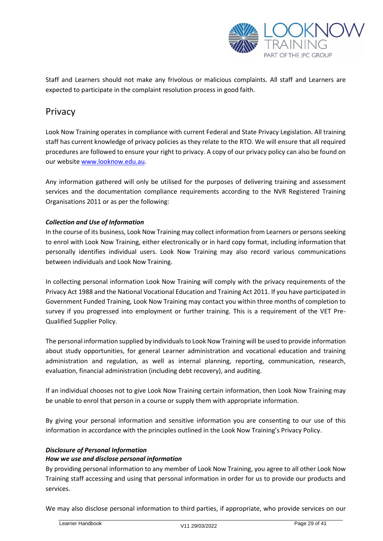

Staff and Learners should not make any frivolous or malicious complaints. All staff and Learners are expected to participate in the complaint resolution process in good faith.

### <span id="page-28-0"></span>Privacy

Look Now Training operates in compliance with current Federal and State Privacy Legislation. All training staff has current knowledge of privacy policies as they relate to the RTO. We will ensure that all required procedures are followed to ensure your right to privacy. A copy of our privacy policy can also be found on our website [www.looknow.edu.au.](http://www.looknow.edu.au/)

Any information gathered will only be utilised for the purposes of delivering training and assessment services and the documentation compliance requirements according to the NVR Registered Training Organisations 2011 or as per the following:

#### *Collection and Use of Information*

In the course of its business, Look Now Training may collect information from Learners or persons seeking to enrol with Look Now Training, either electronically or in hard copy format, including information that personally identifies individual users. Look Now Training may also record various communications between individuals and Look Now Training.

In collecting personal information Look Now Training will comply with the privacy requirements of the Privacy Act 1988 and the National Vocational Education and Training Act 2011. If you have participated in Government Funded Training, Look Now Training may contact you within three months of completion to survey if you progressed into employment or further training. This is a requirement of the VET Pre-Qualified Supplier Policy.

The personal information supplied by individuals to Look Now Training will be used to provide information about study opportunities, for general Learner administration and vocational education and training administration and regulation, as well as internal planning, reporting, communication, research, evaluation, financial administration (including debt recovery), and auditing.

If an individual chooses not to give Look Now Training certain information, then Look Now Training may be unable to enrol that person in a course or supply them with appropriate information.

By giving your personal information and sensitive information you are consenting to our use of this information in accordance with the principles outlined in the Look Now Training's Privacy Policy.

### *Disclosure of Personal Information*

#### *How we use and disclose personal information*

By providing personal information to any member of Look Now Training, you agree to all other Look Now Training staff accessing and using that personal information in order for us to provide our products and services.

We may also disclose personal information to third parties, if appropriate, who provide services on our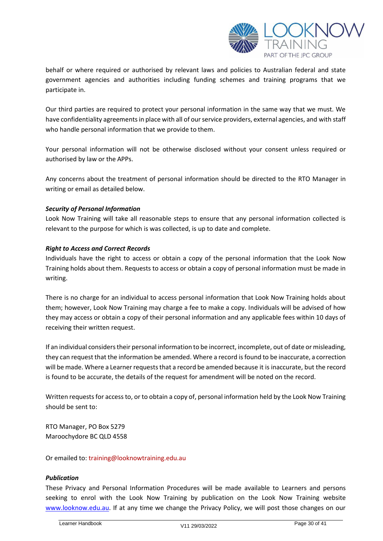

behalf or where required or authorised by relevant laws and policies to Australian federal and state government agencies and authorities including funding schemes and training programs that we participate in.

Our third parties are required to protect your personal information in the same way that we must. We have confidentiality agreements in place with all of our service providers, external agencies, and with staff who handle personal information that we provide to them.

Your personal information will not be otherwise disclosed without your consent unless required or authorised by law or the APPs.

Any concerns about the treatment of personal information should be directed to the RTO Manager in writing or email as detailed below.

#### *Security of Personal Information*

Look Now Training will take all reasonable steps to ensure that any personal information collected is relevant to the purpose for which is was collected, is up to date and complete.

#### *Right to Access and Correct Records*

Individuals have the right to access or obtain a copy of the personal information that the Look Now Training holds about them. Requests to access or obtain a copy of personal information must be made in writing.

There is no charge for an individual to access personal information that Look Now Training holds about them; however, Look Now Training may charge a fee to make a copy. Individuals will be advised of how they may access or obtain a copy of their personal information and any applicable fees within 10 days of receiving their written request.

If an individual considers their personal information to be incorrect, incomplete, out of date or misleading, they can request that the information be amended. Where a record is found to be inaccurate, a correction will be made. Where a Learner requests that a record be amended because it is inaccurate, but the record is found to be accurate, the details of the request for amendment will be noted on the record.

Written requests for access to, or to obtain a copy of, personal information held by the Look Now Training should be sent to:

RTO Manager, PO Box 5279 Maroochydore BC QLD 4558

Or emailed to[: training@looknowtraining.edu.au](mailto:training@looknowtraining.edu.au)

#### *Publication*

These Privacy and Personal Information Procedures will be made available to Learners and persons seeking to enrol with the Look Now Training by publication on the Look Now Training website [www.looknow.edu.au.](http://www.looknow.edu.au/) If at any time we change the Privacy Policy, we will post those changes on our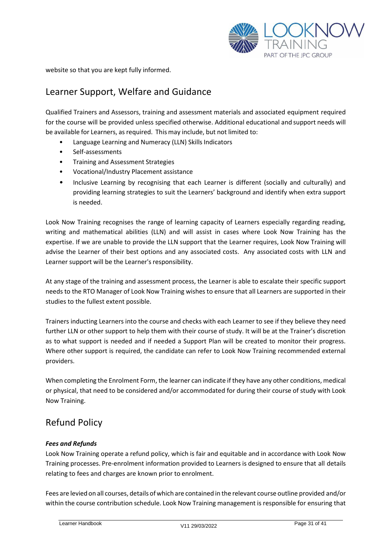

website so that you are kept fully informed.

### <span id="page-30-0"></span>Learner Support, Welfare and Guidance

Qualified Trainers and Assessors, training and assessment materials and associated equipment required for the course will be provided unless specified otherwise. Additional educational and support needs will be available for Learners, as required. This may include, but not limited to:

- Language Learning and Numeracy (LLN) Skills Indicators
- Self-assessments
- Training and Assessment Strategies
- Vocational/Industry Placement assistance
- Inclusive Learning by recognising that each Learner is different (socially and culturally) and providing learning strategies to suit the Learners' background and identify when extra support is needed.

Look Now Training recognises the range of learning capacity of Learners especially regarding reading, writing and mathematical abilities (LLN) and will assist in cases where Look Now Training has the expertise. If we are unable to provide the LLN support that the Learner requires, Look Now Training will advise the Learner of their best options and any associated costs. Any associated costs with LLN and Learner support will be the Learner's responsibility.

At any stage of the training and assessment process, the Learner is able to escalate their specific support needs to the RTO Manager of Look Now Training wishes to ensure that all Learners are supported in their studies to the fullest extent possible.

Trainers inducting Learners into the course and checks with each Learner to see if they believe they need further LLN or other support to help them with their course of study. It will be at the Trainer's discretion as to what support is needed and if needed a Support Plan will be created to monitor their progress. Where other support is required, the candidate can refer to Look Now Training recommended external providers.

When completing the Enrolment Form, the learner can indicate if they have any other conditions, medical or physical, that need to be considered and/or accommodated for during their course of study with Look Now Training.

# <span id="page-30-1"></span>Refund Policy

#### *Fees and Refunds*

Look Now Training operate a refund policy, which is fair and equitable and in accordance with Look Now Training processes. Pre-enrolment information provided to Learners is designed to ensure that all details relating to fees and charges are known prior to enrolment.

Fees are levied on all courses, details ofwhich are contained in the relevant course outline provided and/or within the course contribution schedule. Look Now Training management is responsible for ensuring that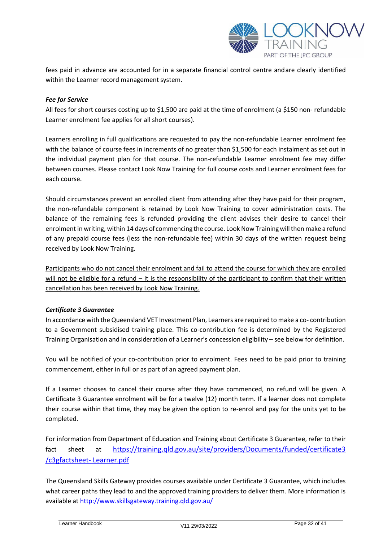

fees paid in advance are accounted for in a separate financial control centre andare clearly identified within the Learner record management system.

#### *Fee for Service*

All fees for short courses costing up to \$1,500 are paid at the time of enrolment (a \$150 non- refundable Learner enrolment fee applies for all short courses).

Learners enrolling in full qualifications are requested to pay the non-refundable Learner enrolment fee with the balance of course fees in increments of no greater than \$1,500 for each instalment as set out in the individual payment plan for that course. The non-refundable Learner enrolment fee may differ between courses. Please contact Look Now Training for full course costs and Learner enrolment fees for each course.

Should circumstances prevent an enrolled client from attending after they have paid for their program, the non-refundable component is retained by Look Now Training to cover administration costs. The balance of the remaining fees is refunded providing the client advises their desire to cancel their enrolment in writing, within 14 days of commencing the course. Look Now Trainingwillthen make a refund of any prepaid course fees (less the non-refundable fee) within 30 days of the written request being received by Look Now Training.

Participants who do not cancel their enrolment and fail to attend the course for which they are enrolled will not be eligible for a refund – it is the responsibility of the participant to confirm that their written cancellation has been received by Look Now Training.

#### *Certificate 3 Guarantee*

In accordance with the Queensland VET Investment Plan, Learners are required to make a co- contribution to a Government subsidised training place. This co-contribution fee is determined by the Registered Training Organisation and in consideration of a Learner's concession eligibility – see below for definition.

You will be notified of your co-contribution prior to enrolment. Fees need to be paid prior to training commencement, either in full or as part of an agreed payment plan.

If a Learner chooses to cancel their course after they have commenced, no refund will be given. A Certificate 3 Guarantee enrolment will be for a twelve (12) month term. If a learner does not complete their course within that time, they may be given the option to re-enrol and pay for the units yet to be completed.

For information from Department of Education and Training about Certificate 3 Guarantee, refer to their fact sheet at [https://training.qld.gov.au/site/providers/Documents/funded/certificate3](https://training.qld.gov.au/site/providers/Documents/funded/certificate3%20/c3gfactsheet-%20Learner.pdf)  [/c3gfactsheet-](https://training.qld.gov.au/site/providers/Documents/funded/certificate3%20/c3gfactsheet-%20Learner.pdf) Learner.pdf

The Queensland Skills Gateway provides courses available under Certificate 3 Guarantee, which includes what career paths they lead to and the approved training providers to deliver them. More information is available a[t http://www.skillsgateway.training.qld.gov.au/](http://www.skillsgateway.training.qld.gov.au/)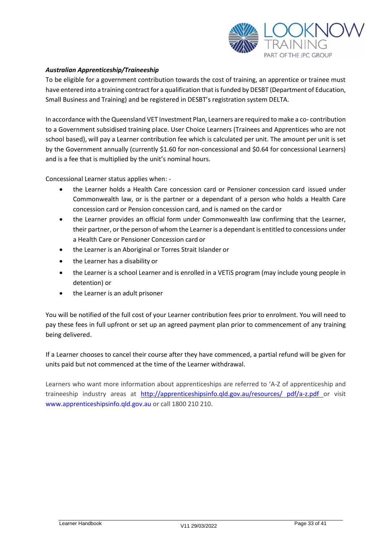

#### *Australian Apprenticeship/Traineeship*

To be eligible for a government contribution towards the cost of training, an apprentice or trainee must have entered into a training contract for a qualification that is funded by DESBT (Department of Education, Small Business and Training) and be registered in DESBT's registration system DELTA.

In accordance with the Queensland VET Investment Plan, Learners are required to make a co- contribution to a Government subsidised training place. User Choice Learners (Trainees and Apprentices who are not school based), will pay a Learner contribution fee which is calculated per unit. The amount per unit is set by the Government annually (currently \$1.60 for non-concessional and \$0.64 for concessional Learners) and is a fee that is multiplied by the unit's nominal hours.

Concessional Learner status applies when: -

- the Learner holds a Health Care concession card or Pensioner concession card issued under Commonwealth law, or is the partner or a dependant of a person who holds a Health Care concession card or Pension concession card, and is named on the card or
- the Learner provides an official form under Commonwealth law confirming that the Learner, their partner, or the person of whom the Learner is a dependant is entitled to concessions under a Health Care or Pensioner Concession card or
- the Learner is an Aboriginal or Torres Strait Islander or
- the Learner has a disability or
- the Learner is a school Learner and is enrolled in a VETiS program (may include young people in detention) or
- the Learner is an adult prisoner

You will be notified of the full cost of your Learner contribution fees prior to enrolment. You will need to pay these fees in full upfront or set up an agreed payment plan prior to commencement of any training being delivered.

If a Learner chooses to cancel their course after they have commenced, a partial refund will be given for units paid but not commenced at the time of the Learner withdrawal.

Learners who want more information about apprenticeships are referred to 'A-Z of apprenticeship and traineeship industry areas at [http://apprenticeshipsinfo.qld.gov.au/resources/ pdf/a-z.pdf o](http://apprenticeshipsinfo.qld.gov.au/resources/%20pdf/a-z.pdf)r visit [www.apprenticeshipsinfo.qld.gov.au o](http://www.apprenticeshipsinfo.qld.gov.au/)r call 1800 210 210.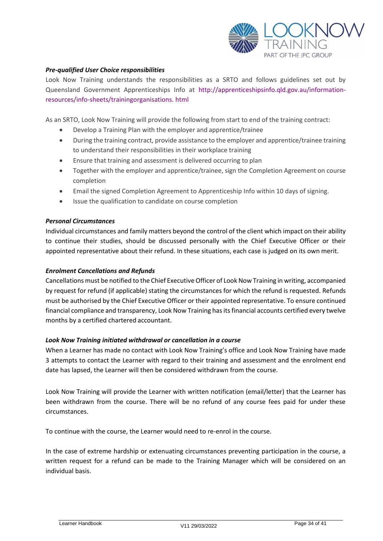

#### *Pre-qualified User Choice responsibilities*

Look Now Training understands the responsibilities as a SRTO and follows guidelines set out by Queensland Government Apprenticeships Info at [http://apprenticeshipsinfo.qld.gov.au/information](http://apprenticeshipsinfo.qld.gov.au/information-resources/info-sheets/trainingorganisations)[resources/info-sheets/trainingorganisations.](http://apprenticeshipsinfo.qld.gov.au/information-resources/info-sheets/trainingorganisations) html

As an SRTO, Look Now Training will provide the following from start to end of the training contract:

- Develop a Training Plan with the employer and apprentice/trainee
- During the training contract, provide assistance to the employer and apprentice/trainee training to understand their responsibilities in their workplace training
- Ensure that training and assessment is delivered occurring to plan
- Together with the employer and apprentice/trainee, sign the Completion Agreement on course completion
- Email the signed Completion Agreement to Apprenticeship Info within 10 days of signing.
- Issue the qualification to candidate on course completion

#### *Personal Circumstances*

Individual circumstances and family matters beyond the control of the client which impact on their ability to continue their studies, should be discussed personally with the Chief Executive Officer or their appointed representative about their refund. In these situations, each case is judged on its own merit.

#### *Enrolment Cancellations and Refunds*

Cancellations must be notified to the Chief Executive Officer of Look Now Training in writing, accompanied by request for refund (if applicable) stating the circumstances for which the refund is requested. Refunds must be authorised by the Chief Executive Officer or their appointed representative. To ensure continued financial compliance and transparency, Look Now Training has its financial accounts certified every twelve months by a certified chartered accountant.

#### *Look Now Training initiated withdrawal or cancellation in a course*

When a Learner has made no contact with Look Now Training's office and Look Now Training have made 3 attempts to contact the Learner with regard to their training and assessment and the enrolment end date has lapsed, the Learner will then be considered withdrawn from the course.

Look Now Training will provide the Learner with written notification (email/letter) that the Learner has been withdrawn from the course. There will be no refund of any course fees paid for under these circumstances.

To continue with the course, the Learner would need to re-enrol in the course.

In the case of extreme hardship or extenuating circumstances preventing participation in the course, a written request for a refund can be made to the Training Manager which will be considered on an individual basis.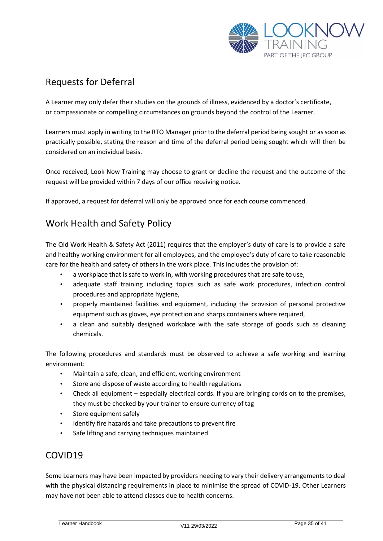

# <span id="page-34-0"></span>Requests for Deferral

A Learner may only defer their studies on the grounds of illness, evidenced by a doctor's certificate, or compassionate or compelling circumstances on grounds beyond the control of the Learner.

Learners must apply in writing to the RTO Manager prior to the deferral period being sought or assoon as practically possible, stating the reason and time of the deferral period being sought which will then be considered on an individual basis.

Once received, Look Now Training may choose to grant or decline the request and the outcome of the request will be provided within 7 days of our office receiving notice.

If approved, a request for deferral will only be approved once for each course commenced.

# <span id="page-34-1"></span>Work Health and Safety Policy

The Qld Work Health & Safety Act (2011) requires that the employer's duty of care is to provide a safe and healthy working environment for all employees, and the employee's duty of care to take reasonable care for the health and safety of others in the work place. This includes the provision of:

- a workplace that is safe to work in, with working procedures that are safe to use,
- adequate staff training including topics such as safe work procedures, infection control procedures and appropriate hygiene,
- properly maintained facilities and equipment, including the provision of personal protective equipment such as gloves, eye protection and sharps containers where required,
- a clean and suitably designed workplace with the safe storage of goods such as cleaning chemicals.

The following procedures and standards must be observed to achieve a safe working and learning environment:

- Maintain a safe, clean, and efficient, working environment
- Store and dispose of waste according to health regulations
- Check all equipment especially electrical cords. If you are bringing cords on to the premises, they must be checked by your trainer to ensure currency of tag
- Store equipment safely
- Identify fire hazards and take precautions to prevent fire
- Safe lifting and carrying techniques maintained

### <span id="page-34-2"></span>COVID19

Some Learners may have been impacted by providers needing to vary their delivery arrangements to deal with the physical distancing requirements in place to minimise the spread of COVID-19. Other Learners may have not been able to attend classes due to health concerns.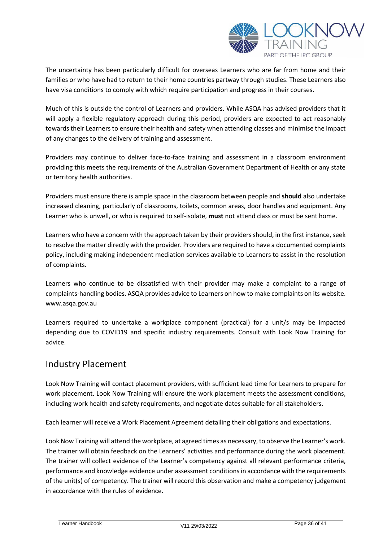

The uncertainty has been particularly difficult for overseas Learners who are far from home and their families or who have had to return to their home countries partway through studies. These Learners also have visa conditions to comply with which require participation and progress in their courses.

Much of this is outside the control of Learners and providers. While ASQA has advised providers that it will apply a flexible regulatory approach during this period, providers are expected to act reasonably towards their Learners to ensure their health and safety when attending classes and minimise the impact of any changes to the delivery of training and assessment.

Providers may continue to deliver face-to-face training and assessment in a classroom environment providing this meets the requirements of the Australian Government Department of Health or any state or territory health authorities.

Providers must ensure there is ample space in the classroom between people and **should** also undertake increased cleaning, particularly of classrooms, toilets, common areas, door handles and equipment. Any Learner who is unwell, or who is required to self-isolate, **must** not attend class or must be sent home.

Learners who have a concern with the approach taken by their providers should, in the first instance, seek to resolve the matter directly with the provider. Providers are required to have a documented complaints policy, including making independent mediation services available to Learners to assist in the resolution of complaints.

Learners who continue to be dissatisfied with their provider may make a complaint to a range of complaints-handling bodies. ASQA provides advice to Learners on how to make complaints on its [website.](https://www.asqa.gov.au/node/2711) www.asqa.gov.au

Learners required to undertake a workplace component (practical) for a unit/s may be impacted depending due to COVID19 and specific industry requirements. Consult with Look Now Training for advice.

### <span id="page-35-0"></span>Industry Placement

Look Now Training will contact placement providers, with sufficient lead time for Learners to prepare for work placement. Look Now Training will ensure the work placement meets the assessment conditions, including work health and safety requirements, and negotiate dates suitable for all stakeholders.

Each learner will receive a Work Placement Agreement detailing their obligations and expectations.

Look Now Training will attend the workplace, at agreed times as necessary, to observe the Learner's work. The trainer will obtain feedback on the Learners' activities and performance during the work placement. The trainer will collect evidence of the Learner's competency against all relevant performance criteria, performance and knowledge evidence under assessment conditions in accordance with the requirements of the unit(s) of competency. The trainer will record this observation and make a competency judgement in accordance with the rules of evidence.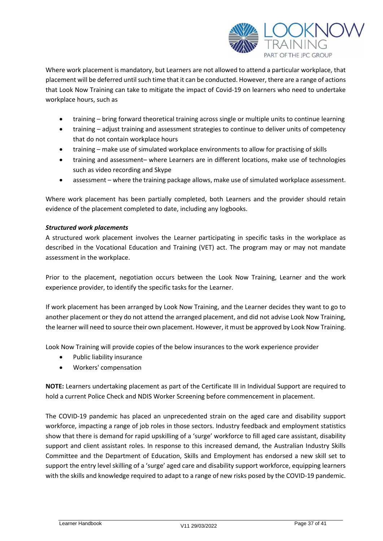

Where work placement is mandatory, but Learners are not allowed to attend a particular workplace, that placement will be deferred until such time that it can be conducted. However, there are a range of actions that Look Now Training can take to mitigate the impact of Covid-19 on learners who need to undertake workplace hours, such as

- training bring forward theoretical training across single or multiple units to continue learning
- training adjust training and assessment strategies to continue to deliver units of competency that do not contain workplace hours
- training make use of simulated workplace environments to allow for practising of skills
- training and assessment– where Learners are in different locations, make use of technologies such as video recording and Skype
- assessment where the training package allows, make use of simulated workplace assessment.

Where work placement has been partially completed, both Learners and the provider should retain evidence of the placement completed to date, including any logbooks.

#### *Structured work placements*

A structured work placement involves the Learner participating in specific tasks in the workplace as described in the Vocational Education and Training (VET) act. The program may or may not mandate assessment in the workplace.

Prior to the placement, negotiation occurs between the Look Now Training, Learner and the work experience provider, to identify the specific tasks for the Learner.

If work placement has been arranged by Look Now Training, and the Learner decides they want to go to another placement or they do not attend the arranged placement, and did not advise Look Now Training, the learner will need to source their own placement. However, it must be approved by Look Now Training.

Look Now Training will provide copies of the below insurances to the work experience provider

- Public liability insurance
- Workers' compensation

**NOTE:** Learners undertaking placement as part of the Certificate III in Individual Support are required to hold a current Police Check and NDIS Worker Screening before commencement in placement.

The COVID-19 pandemic has placed an unprecedented strain on the aged care and disability support workforce, impacting a range of job roles in those sectors. Industry feedback and employment statistics show that there is demand for rapid upskilling of a 'surge' workforce to fill aged care assistant, disability support and client assistant roles. In response to this increased demand, the Australian Industry Skills Committee and the Department of Education, Skills and Employment has endorsed a new skill set to support the entry level skilling of a 'surge' aged care and disability support workforce, equipping learners with the skills and knowledge required to adapt to a range of new risks posed by the COVID-19 pandemic.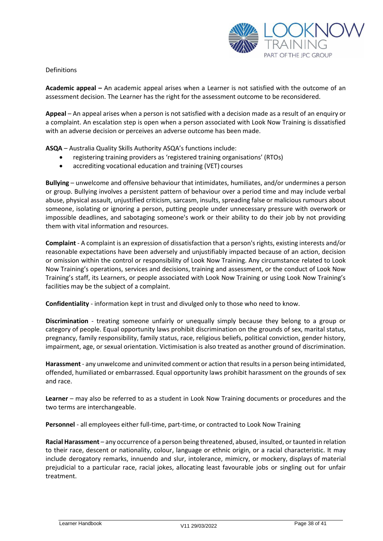

<span id="page-37-0"></span>Definitions

**Academic appeal –** An academic appeal arises when a Learner is not satisfied with the outcome of an assessment decision. The Learner has the right for the assessment outcome to be reconsidered.

**Appeal** – An appeal arises when a person is not satisfied with a decision made as a result of an enquiry or a complaint. An escalation step is open when a person associated with Look Now Training is dissatisfied with an adverse decision or perceives an adverse outcome has been made.

**ASQA** – Australia Quality Skills Authority ASQA's functions include:

- registering training providers as 'registered training organisations' (RTOs)
- accrediting vocational education and training (VET) courses

**Bullying** – unwelcome and offensive behaviour that intimidates, humiliates, and/or undermines a person or group. Bullying involves a persistent pattern of behaviour over a period time and may include verbal abuse, physical assault, unjustified criticism, sarcasm, insults, spreading false or malicious rumours about someone, isolating or ignoring a person, putting people under unnecessary pressure with overwork or impossible deadlines, and sabotaging someone's work or their ability to do their job by not providing them with vital information and resources.

**Complaint** - A complaint is an expression of dissatisfaction that a person's rights, existing interests and/or reasonable expectations have been adversely and unjustifiably impacted because of an action, decision or omission within the control or responsibility of Look Now Training. Any circumstance related to Look Now Training's operations, services and decisions, training and assessment, or the conduct of Look Now Training's staff, its Learners, or people associated with Look Now Training or using Look Now Training's facilities may be the subject of a complaint.

**Confidentiality** - information kept in trust and divulged only to those who need to know.

**Discrimination** - treating someone unfairly or unequally simply because they belong to a group or category of people. Equal opportunity laws prohibit discrimination on the grounds of sex, marital status, pregnancy, family responsibility, family status, race, religious beliefs, political conviction, gender history, impairment, age, or sexual orientation. Victimisation is also treated as another ground of discrimination.

**Harassment** - any unwelcome and uninvited comment or action that results in a person being intimidated, offended, humiliated or embarrassed. Equal opportunity laws prohibit harassment on the grounds of sex and race.

**Learner** – may also be referred to as a student in Look Now Training documents or procedures and the two terms are interchangeable.

**Personnel** - all employees either full-time, part-time, or contracted to Look Now Training

**Racial Harassment** – any occurrence of a person being threatened, abused, insulted, or taunted in relation to their race, descent or nationality, colour, language or ethnic origin, or a racial characteristic. It may include derogatory remarks, innuendo and slur, intolerance, mimicry, or mockery, displays of material prejudicial to a particular race, racial jokes, allocating least favourable jobs or singling out for unfair treatment.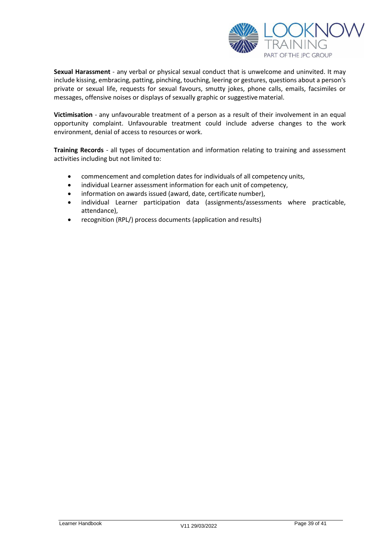

**Sexual Harassment** - any verbal or physical sexual conduct that is unwelcome and uninvited. It may include kissing, embracing, patting, pinching, touching, leering or gestures, questions about a person's private or sexual life, requests for sexual favours, smutty jokes, phone calls, emails, facsimiles or messages, offensive noises or displays of sexually graphic or suggestivematerial.

**Victimisation** - any unfavourable treatment of a person as a result of their involvement in an equal opportunity complaint. Unfavourable treatment could include adverse changes to the work environment, denial of access to resources or work.

**Training Records** - all types of documentation and information relating to training and assessment activities including but not limited to:

- commencement and completion dates for individuals of all competency units,
- individual Learner assessment information for each unit of competency,
- information on awards issued (award, date, certificate number),
- individual Learner participation data (assignments/assessments where practicable, attendance),
- recognition (RPL/) process documents (application and results)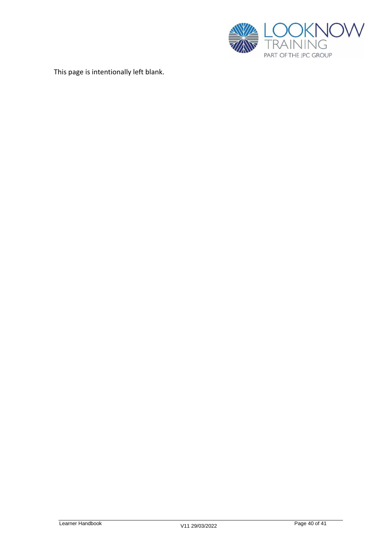

This page is intentionally left blank.